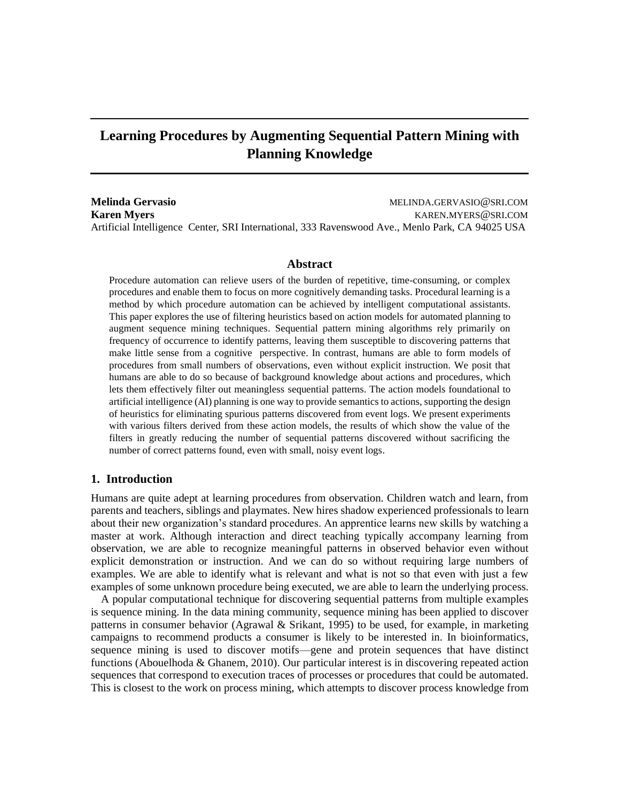# **Learning Procedures by Augmenting Sequential Pattern Mining with Planning Knowledge**

**Melinda Gervasio** MELINDA.GERVASIO@SRI.COM **Karen Myers** KAREN.MYERS@SRI.COM Artificial Intelligence Center, SRI International, 333 Ravenswood Ave., Menlo Park, CA 94025 USA

#### **Abstract**

Procedure automation can relieve users of the burden of repetitive, time-consuming, or complex procedures and enable them to focus on more cognitively demanding tasks. Procedural learning is a method by which procedure automation can be achieved by intelligent computational assistants. This paper explores the use of filtering heuristics based on action models for automated planning to augment sequence mining techniques. Sequential pattern mining algorithms rely primarily on frequency of occurrence to identify patterns, leaving them susceptible to discovering patterns that make little sense from a cognitive perspective. In contrast, humans are able to form models of procedures from small numbers of observations, even without explicit instruction. We posit that humans are able to do so because of background knowledge about actions and procedures, which lets them effectively filter out meaningless sequential patterns. The action models foundational to artificial intelligence (AI) planning is one way to provide semantics to actions, supporting the design of heuristics for eliminating spurious patterns discovered from event logs. We present experiments with various filters derived from these action models, the results of which show the value of the filters in greatly reducing the number of sequential patterns discovered without sacrificing the number of correct patterns found, even with small, noisy event logs.

# **1. Introduction**

Humans are quite adept at learning procedures from observation. Children watch and learn, from parents and teachers, siblings and playmates. New hires shadow experienced professionals to learn about their new organization's standard procedures. An apprentice learns new skills by watching a master at work. Although interaction and direct teaching typically accompany learning from observation, we are able to recognize meaningful patterns in observed behavior even without explicit demonstration or instruction. And we can do so without requiring large numbers of examples. We are able to identify what is relevant and what is not so that even with just a few examples of some unknown procedure being executed, we are able to learn the underlying process.

A popular computational technique for discovering sequential patterns from multiple examples is sequence mining. In the data mining community, sequence mining has been applied to discover patterns in consumer behavior (Agrawal & Srikant, 1995) to be used, for example, in marketing campaigns to recommend products a consumer is likely to be interested in. In bioinformatics, sequence mining is used to discover motifs—gene and protein sequences that have distinct functions (Abouelhoda & Ghanem, 2010). Our particular interest is in discovering repeated action sequences that correspond to execution traces of processes or procedures that could be automated. This is closest to the work on process mining, which attempts to discover process knowledge from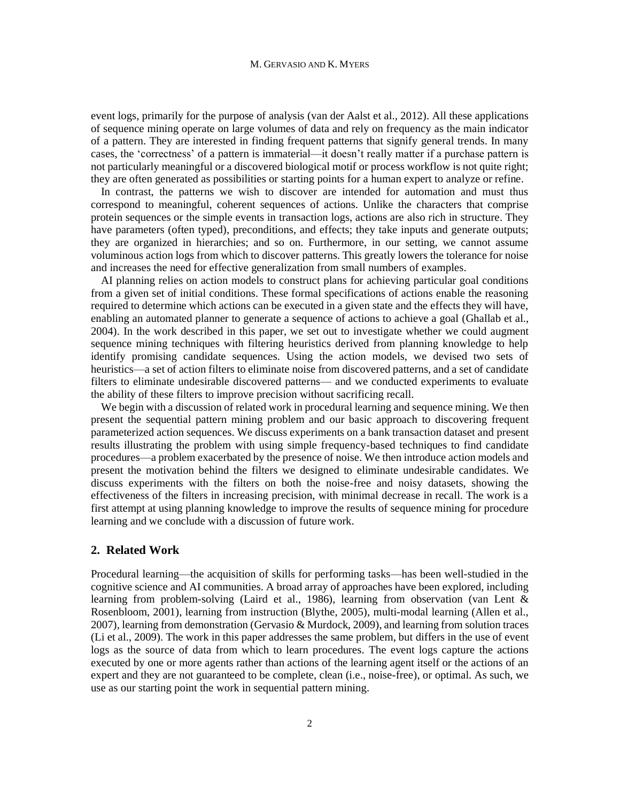#### M. GERVASIO AND K. MYERS

event logs, primarily for the purpose of analysis (van der Aalst et al., 2012). All these applications of sequence mining operate on large volumes of data and rely on frequency as the main indicator of a pattern. They are interested in finding frequent patterns that signify general trends. In many cases, the 'correctness' of a pattern is immaterial—it doesn't really matter if a purchase pattern is not particularly meaningful or a discovered biological motif or process workflow is not quite right; they are often generated as possibilities or starting points for a human expert to analyze or refine.

In contrast, the patterns we wish to discover are intended for automation and must thus correspond to meaningful, coherent sequences of actions. Unlike the characters that comprise protein sequences or the simple events in transaction logs, actions are also rich in structure. They have parameters (often typed), preconditions, and effects; they take inputs and generate outputs; they are organized in hierarchies; and so on. Furthermore, in our setting, we cannot assume voluminous action logs from which to discover patterns. This greatly lowers the tolerance for noise and increases the need for effective generalization from small numbers of examples.

AI planning relies on action models to construct plans for achieving particular goal conditions from a given set of initial conditions. These formal specifications of actions enable the reasoning required to determine which actions can be executed in a given state and the effects they will have, enabling an automated planner to generate a sequence of actions to achieve a goal (Ghallab et al., 2004). In the work described in this paper, we set out to investigate whether we could augment sequence mining techniques with filtering heuristics derived from planning knowledge to help identify promising candidate sequences. Using the action models, we devised two sets of heuristics—a set of action filters to eliminate noise from discovered patterns, and a set of candidate filters to eliminate undesirable discovered patterns— and we conducted experiments to evaluate the ability of these filters to improve precision without sacrificing recall.

We begin with a discussion of related work in procedural learning and sequence mining. We then present the sequential pattern mining problem and our basic approach to discovering frequent parameterized action sequences. We discuss experiments on a bank transaction dataset and present results illustrating the problem with using simple frequency-based techniques to find candidate procedures—a problem exacerbated by the presence of noise. We then introduce action models and present the motivation behind the filters we designed to eliminate undesirable candidates. We discuss experiments with the filters on both the noise-free and noisy datasets, showing the effectiveness of the filters in increasing precision, with minimal decrease in recall. The work is a first attempt at using planning knowledge to improve the results of sequence mining for procedure learning and we conclude with a discussion of future work.

# **2. Related Work**

Procedural learning—the acquisition of skills for performing tasks—has been well-studied in the cognitive science and AI communities. A broad array of approaches have been explored, including learning from problem-solving (Laird et al., 1986), learning from observation (van Lent & Rosenbloom, 2001), learning from instruction (Blythe, 2005), multi-modal learning (Allen et al., 2007), learning from demonstration (Gervasio & Murdock, 2009), and learning from solution traces (Li et al., 2009). The work in this paper addresses the same problem, but differs in the use of event logs as the source of data from which to learn procedures. The event logs capture the actions executed by one or more agents rather than actions of the learning agent itself or the actions of an expert and they are not guaranteed to be complete, clean (i.e., noise-free), or optimal. As such, we use as our starting point the work in sequential pattern mining.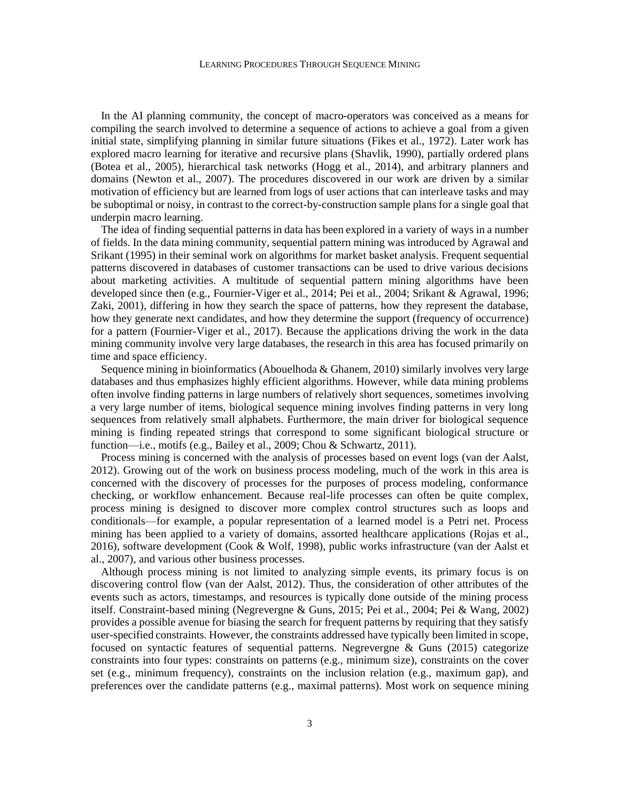In the AI planning community, the concept of macro-operators was conceived as a means for compiling the search involved to determine a sequence of actions to achieve a goal from a given initial state, simplifying planning in similar future situations (Fikes et al., 1972). Later work has explored macro learning for iterative and recursive plans (Shavlik, 1990), partially ordered plans (Botea et al., 2005), hierarchical task networks (Hogg et al., 2014), and arbitrary planners and domains (Newton et al., 2007). The procedures discovered in our work are driven by a similar motivation of efficiency but are learned from logs of user actions that can interleave tasks and may be suboptimal or noisy, in contrast to the correct-by-construction sample plans for a single goal that underpin macro learning.

The idea of finding sequential patterns in data has been explored in a variety of ways in a number of fields. In the data mining community, sequential pattern mining was introduced by Agrawal and Srikant (1995) in their seminal work on algorithms for market basket analysis. Frequent sequential patterns discovered in databases of customer transactions can be used to drive various decisions about marketing activities. A multitude of sequential pattern mining algorithms have been developed since then (e.g., Fournier-Viger et al., 2014; Pei et al., 2004; Srikant & Agrawal, 1996; Zaki, 2001), differing in how they search the space of patterns, how they represent the database, how they generate next candidates, and how they determine the support (frequency of occurrence) for a pattern (Fournier-Viger et al., 2017). Because the applications driving the work in the data mining community involve very large databases, the research in this area has focused primarily on time and space efficiency.

Sequence mining in bioinformatics (Abouelhoda & Ghanem, 2010) similarly involves very large databases and thus emphasizes highly efficient algorithms. However, while data mining problems often involve finding patterns in large numbers of relatively short sequences, sometimes involving a very large number of items, biological sequence mining involves finding patterns in very long sequences from relatively small alphabets. Furthermore, the main driver for biological sequence mining is finding repeated strings that correspond to some significant biological structure or function—i.e., motifs (e.g., Bailey et al., 2009; Chou & Schwartz, 2011).

Process mining is concerned with the analysis of processes based on event logs (van der Aalst, 2012). Growing out of the work on business process modeling, much of the work in this area is concerned with the discovery of processes for the purposes of process modeling, conformance checking, or workflow enhancement. Because real-life processes can often be quite complex, process mining is designed to discover more complex control structures such as loops and conditionals—for example, a popular representation of a learned model is a Petri net. Process mining has been applied to a variety of domains, assorted healthcare applications (Rojas et al., 2016), software development (Cook & Wolf, 1998), public works infrastructure (van der Aalst et al., 2007), and various other business processes.

Although process mining is not limited to analyzing simple events, its primary focus is on discovering control flow (van der Aalst, 2012). Thus, the consideration of other attributes of the events such as actors, timestamps, and resources is typically done outside of the mining process itself. Constraint-based mining (Negrevergne & Guns, 2015; Pei et al., 2004; Pei & Wang, 2002) provides a possible avenue for biasing the search for frequent patterns by requiring that they satisfy user-specified constraints. However, the constraints addressed have typically been limited in scope, focused on syntactic features of sequential patterns. Negrevergne & Guns (2015) categorize constraints into four types: constraints on patterns (e.g., minimum size), constraints on the cover set (e.g., minimum frequency), constraints on the inclusion relation (e.g., maximum gap), and preferences over the candidate patterns (e.g., maximal patterns). Most work on sequence mining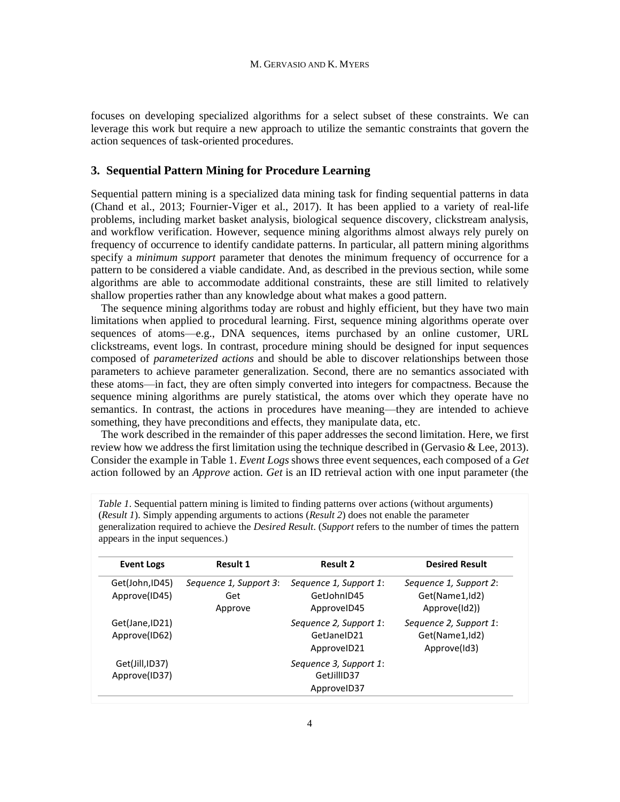focuses on developing specialized algorithms for a select subset of these constraints. We can leverage this work but require a new approach to utilize the semantic constraints that govern the action sequences of task-oriented procedures.

#### **3. Sequential Pattern Mining for Procedure Learning**

Sequential pattern mining is a specialized data mining task for finding sequential patterns in data (Chand et al., 2013; Fournier-Viger et al., 2017). It has been applied to a variety of real-life problems, including market basket analysis, biological sequence discovery, clickstream analysis, and workflow verification. However, sequence mining algorithms almost always rely purely on frequency of occurrence to identify candidate patterns. In particular, all pattern mining algorithms specify a *minimum support* parameter that denotes the minimum frequency of occurrence for a pattern to be considered a viable candidate. And, as described in the previous section, while some algorithms are able to accommodate additional constraints, these are still limited to relatively shallow properties rather than any knowledge about what makes a good pattern.

The sequence mining algorithms today are robust and highly efficient, but they have two main limitations when applied to procedural learning. First, sequence mining algorithms operate over sequences of atoms—e.g., DNA sequences, items purchased by an online customer, URL clickstreams, event logs. In contrast, procedure mining should be designed for input sequences composed of *parameterized actions* and should be able to discover relationships between those parameters to achieve parameter generalization. Second, there are no semantics associated with these atoms—in fact, they are often simply converted into integers for compactness. Because the sequence mining algorithms are purely statistical, the atoms over which they operate have no semantics. In contrast, the actions in procedures have meaning—they are intended to achieve something, they have preconditions and effects, they manipulate data, etc.

The work described in the remainder of this paper addresses the second limitation. Here, we first review how we address the first limitation using the technique described in (Gervasio & Lee, 2013). Consider the example in Table 1. *Event Logs* shows three event sequences, each composed of a *Get*  action followed by an *Approve* action. *Get* is an ID retrieval action with one input parameter (the

| <b>Event Logs</b>                | <b>Result 1</b>                          | <b>Result 2</b>                                      | <b>Desired Result</b>                                     |
|----------------------------------|------------------------------------------|------------------------------------------------------|-----------------------------------------------------------|
| Get(John, ID45)<br>Approve(ID45) | Sequence 1, Support 3:<br>Get<br>Approve | Sequence 1, Support 1:<br>GetJohnID45<br>ApprovelD45 | Sequence 1, Support 2:<br>Get(Name1,Id2)<br>Approve(Id2)) |
| Get(Jane, ID21)<br>Approve(ID62) |                                          | Sequence 2, Support 1:<br>GetJaneID21<br>ApprovelD21 | Sequence 2, Support 1:<br>Get(Name1,Id2)<br>Approve(Id3)  |
| Get(Jill, ID37)<br>Approve(ID37) |                                          | Sequence 3, Support 1:<br>GetJillID37<br>ApprovelD37 |                                                           |

*Table 1*. Sequential pattern mining is limited to finding patterns over actions (without arguments) (*Result 1*). Simply appending arguments to actions (*Result 2*) does not enable the parameter generalization required to achieve the *Desired Result*. (*Support* refers to the number of times the pattern appears in the input sequences.)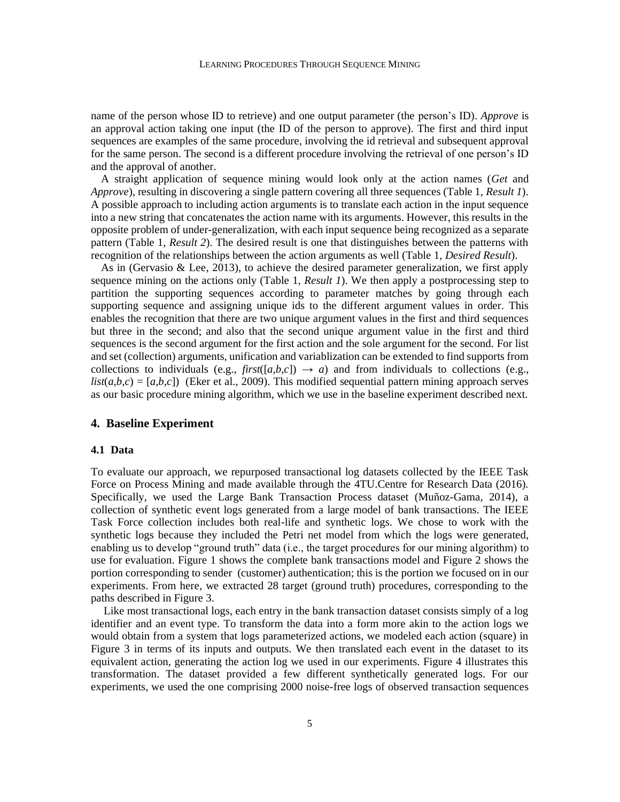name of the person whose ID to retrieve) and one output parameter (the person's ID). *Approve* is an approval action taking one input (the ID of the person to approve). The first and third input sequences are examples of the same procedure, involving the id retrieval and subsequent approval for the same person. The second is a different procedure involving the retrieval of one person's ID and the approval of another.

A straight application of sequence mining would look only at the action names (*Get* and *Approve*), resulting in discovering a single pattern covering all three sequences (Table 1, *Result 1*). A possible approach to including action arguments is to translate each action in the input sequence into a new string that concatenates the action name with its arguments. However, this results in the opposite problem of under-generalization, with each input sequence being recognized as a separate pattern (Table 1, *Result 2*). The desired result is one that distinguishes between the patterns with recognition of the relationships between the action arguments as well (Table 1, *Desired Result*).

As in (Gervasio & Lee, 2013), to achieve the desired parameter generalization, we first apply sequence mining on the actions only (Table 1, *Result 1*). We then apply a postprocessing step to partition the supporting sequences according to parameter matches by going through each supporting sequence and assigning unique ids to the different argument values in order. This enables the recognition that there are two unique argument values in the first and third sequences but three in the second; and also that the second unique argument value in the first and third sequences is the second argument for the first action and the sole argument for the second. For list and set (collection) arguments, unification and variablization can be extended to find supports from collections to individuals (e.g., *first*([ $a,b,c$ ])  $\rightarrow a$ ) and from individuals to collections (e.g.,  $list(a,b,c) = [a,b,c]$  (Eker et al., 2009). This modified sequential pattern mining approach serves as our basic procedure mining algorithm, which we use in the baseline experiment described next.

## **4. Baseline Experiment**

#### **4.1 Data**

To evaluate our approach, we repurposed transactional log datasets collected by the IEEE Task Force on Process Mining and made available through the 4TU.Centre for Research Data (2016). Specifically, we used the Large Bank Transaction Process dataset (Muñoz-Gama, 2014), a collection of synthetic event logs generated from a large model of bank transactions. The IEEE Task Force collection includes both real-life and synthetic logs. We chose to work with the synthetic logs because they included the Petri net model from which the logs were generated, enabling us to develop "ground truth" data (i.e., the target procedures for our mining algorithm) to use for evaluation. Figure 1 shows the complete bank transactions model and Figure 2 shows the portion corresponding to sender (customer) authentication; this is the portion we focused on in our experiments. From here, we extracted 28 target (ground truth) procedures, corresponding to the paths described in Figure 3.

Like most transactional logs, each entry in the bank transaction dataset consists simply of a log identifier and an event type. To transform the data into a form more akin to the action logs we would obtain from a system that logs parameterized actions, we modeled each action (square) in Figure 3 in terms of its inputs and outputs. We then translated each event in the dataset to its equivalent action, generating the action log we used in our experiments. Figure 4 illustrates this transformation. The dataset provided a few different synthetically generated logs. For our experiments, we used the one comprising 2000 noise-free logs of observed transaction sequences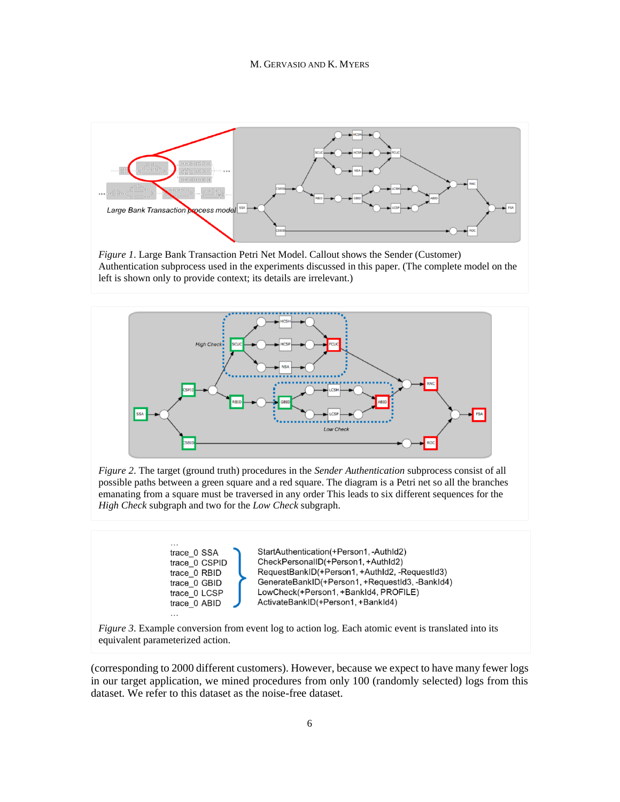

*Figure 1*. Large Bank Transaction Petri Net Model. Callout shows the Sender (Customer) Authentication subprocess used in the experiments discussed in this paper. (The complete model on the left is shown only to provide context; its details are irrelevant.)



*Figure 2*. The target (ground truth) procedures in the *Sender Authentication* subprocess consist of all possible paths between a green square and a red square. The diagram is a Petri net so all the branches emanating from a square must be traversed in any order This leads to six different sequences for the *High Check* subgraph and two for the *Low Check* subgraph.





(corresponding to 2000 different customers). However, because we expect to have many fewer logs in our target application, we mined procedures from only 100 (randomly selected) logs from this dataset. We refer to this dataset as the noise-free dataset.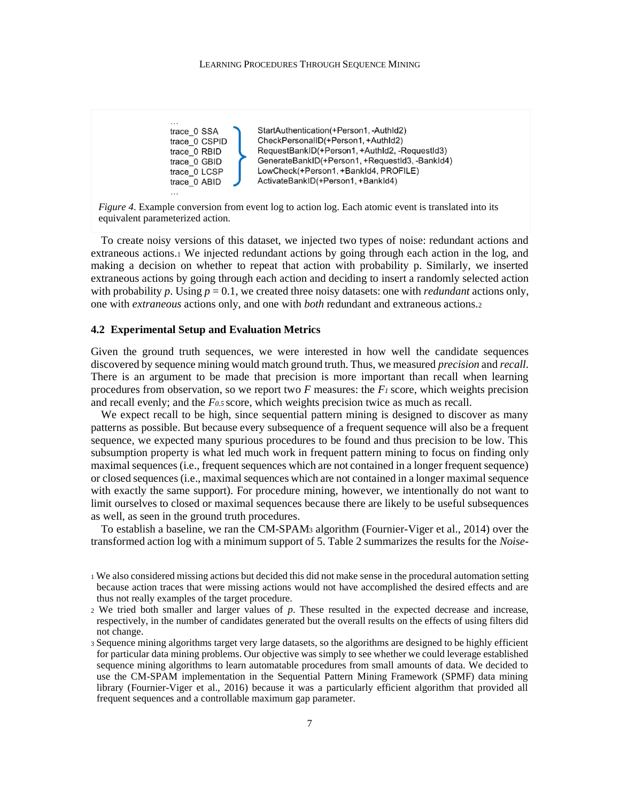

StartAuthentication(+Person1,-AuthId2) CheckPersonalID(+Person1, +AuthId2) RequestBankID(+Person1, +AuthId2, -RequestId3) GenerateBankID(+Person1, +RequestId3, -BankId4) LowCheck(+Person1, +BankId4, PROFILE) ActivateBankID(+Person1, +BankId4)

*Figure 4*. Example conversion from event log to action log. Each atomic event is translated into its equivalent parameterized action.

To create noisy versions of this dataset, we injected two types of noise: redundant actions and extraneous actions.<sup>1</sup> We injected redundant actions by going through each action in the log, and making a decision on whether to repeat that action with probability p. Similarly, we inserted extraneous actions by going through each action and deciding to insert a randomly selected action with probability p. Using  $p = 0.1$ , we created three noisy datasets: one with *redundant* actions only, one with *extraneous* actions only, and one with *both* redundant and extraneous actions.<sup>2</sup>

# **4.2 Experimental Setup and Evaluation Metrics**

Given the ground truth sequences, we were interested in how well the candidate sequences discovered by sequence mining would match ground truth. Thus, we measured *precision* and *recall*. There is an argument to be made that precision is more important than recall when learning procedures from observation, so we report two *F* measures: the *F<sup>1</sup>* score, which weights precision and recall evenly; and the *F0.5* score, which weights precision twice as much as recall.

We expect recall to be high, since sequential pattern mining is designed to discover as many patterns as possible. But because every subsequence of a frequent sequence will also be a frequent sequence, we expected many spurious procedures to be found and thus precision to be low. This subsumption property is what led much work in frequent pattern mining to focus on finding only maximal sequences (i.e., frequent sequences which are not contained in a longer frequent sequence) or closed sequences (i.e., maximal sequences which are not contained in a longer maximal sequence with exactly the same support). For procedure mining, however, we intentionally do not want to limit ourselves to closed or maximal sequences because there are likely to be useful subsequences as well, as seen in the ground truth procedures.

To establish a baseline, we ran the CM-SPAM<sup>3</sup> algorithm (Fournier-Viger et al., 2014) over the transformed action log with a minimum support of 5. Table 2 summarizes the results for the *Noise-*

<sup>1</sup> We also considered missing actions but decided this did not make sense in the procedural automation setting because action traces that were missing actions would not have accomplished the desired effects and are thus not really examples of the target procedure.

<sup>2</sup> We tried both smaller and larger values of *p*. These resulted in the expected decrease and increase, respectively, in the number of candidates generated but the overall results on the effects of using filters did not change.

<sup>3</sup> Sequence mining algorithms target very large datasets, so the algorithms are designed to be highly efficient for particular data mining problems. Our objective was simply to see whether we could leverage established sequence mining algorithms to learn automatable procedures from small amounts of data. We decided to use the CM-SPAM implementation in the Sequential Pattern Mining Framework (SPMF) data mining library (Fournier-Viger et al., 2016) because it was a particularly efficient algorithm that provided all frequent sequences and a controllable maximum gap parameter.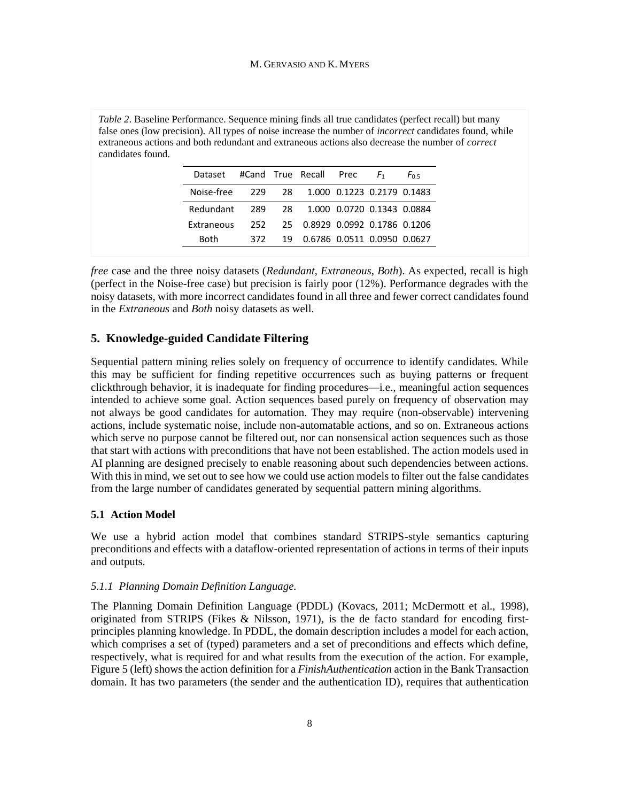false ones (low precision). All types of noise increase the number of *incorrect* candidates found, while extraneous actions and both redundant and extraneous actions also decrease the number of *correct* candidates found. Dataset #Cand True Recall Prec *F*<sup>1</sup> *F*0.5

*Table 2*. Baseline Performance. Sequence mining finds all true candidates (perfect recall) but many

| DataSEL $\pi$ Callu II uch rucu II 105 |      |                                    |  |  |
|----------------------------------------|------|------------------------------------|--|--|
| Noise-free                             |      | 229 28 1.000 0.1223 0.2179 0.1483  |  |  |
| Redundant                              |      | 289 28 1.000 0.0720 0.1343 0.0884  |  |  |
| Extraneous                             | 252. | 25 0.8929 0.0992 0.1786 0.1206     |  |  |
| <b>Both</b>                            | 372  | 19  0.6786  0.0511  0.0950  0.0627 |  |  |

*free* case and the three noisy datasets (*Redundant*, *Extraneous*, *Both*). As expected, recall is high (perfect in the Noise-free case) but precision is fairly poor (12%). Performance degrades with the noisy datasets, with more incorrect candidates found in all three and fewer correct candidates found in the *Extraneous* and *Both* noisy datasets as well.

## **5. Knowledge-guided Candidate Filtering**

Sequential pattern mining relies solely on frequency of occurrence to identify candidates. While this may be sufficient for finding repetitive occurrences such as buying patterns or frequent clickthrough behavior, it is inadequate for finding procedures—i.e., meaningful action sequences intended to achieve some goal. Action sequences based purely on frequency of observation may not always be good candidates for automation. They may require (non-observable) intervening actions, include systematic noise, include non-automatable actions, and so on. Extraneous actions which serve no purpose cannot be filtered out, nor can nonsensical action sequences such as those that start with actions with preconditions that have not been established. The action models used in AI planning are designed precisely to enable reasoning about such dependencies between actions. With this in mind, we set out to see how we could use action models to filter out the false candidates from the large number of candidates generated by sequential pattern mining algorithms.

#### **5.1 Action Model**

We use a hybrid action model that combines standard STRIPS-style semantics capturing preconditions and effects with a dataflow-oriented representation of actions in terms of their inputs and outputs.

# *5.1.1 Planning Domain Definition Language.*

The Planning Domain Definition Language (PDDL) (Kovacs, 2011; McDermott et al., 1998), originated from STRIPS (Fikes & Nilsson, 1971), is the de facto standard for encoding firstprinciples planning knowledge. In PDDL, the domain description includes a model for each action, which comprises a set of (typed) parameters and a set of preconditions and effects which define, respectively, what is required for and what results from the execution of the action. For example, Figure 5 (left) shows the action definition for a *FinishAuthentication* action in the Bank Transaction domain. It has two parameters (the sender and the authentication ID), requires that authentication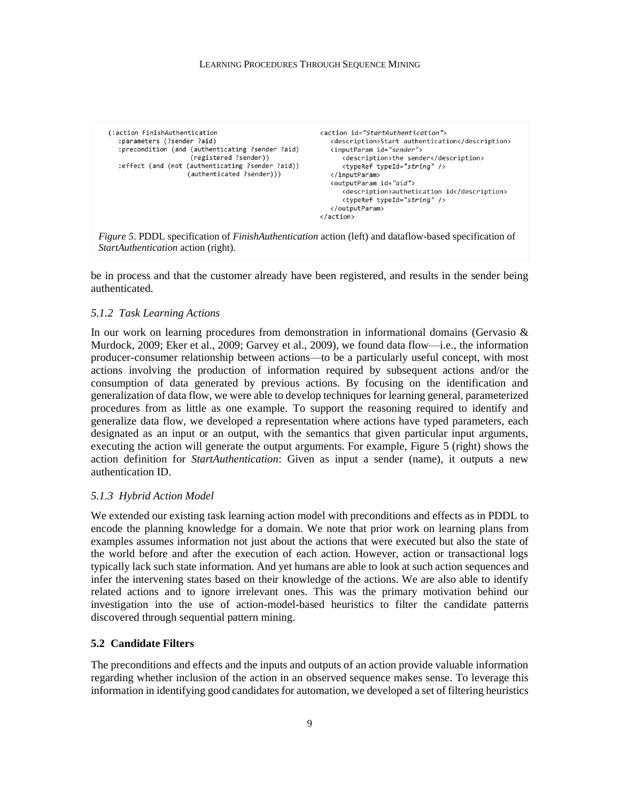| (:action FinishAuthentication<br>:parameters (?sender ?aid)<br>: precondition (and (authenticating ? sender ?aid)<br>(registered ?sender))<br>:effect (and (not (authenticating ?sender ?aid))<br>(authenticated ?sender))) | <action id="StartAuthentication"><br/><description>Start authentication</description><br/><inputparam id="sender"><br/><description>the sender</description><br/><typeref typeid="string"></typeref><br/></inputparam><br/><outputparam id="aid"><br/><description>authetication id</description><br/><typeref typeid="string"></typeref><br/></outputparam><br/></action> |
|-----------------------------------------------------------------------------------------------------------------------------------------------------------------------------------------------------------------------------|----------------------------------------------------------------------------------------------------------------------------------------------------------------------------------------------------------------------------------------------------------------------------------------------------------------------------------------------------------------------------|
|-----------------------------------------------------------------------------------------------------------------------------------------------------------------------------------------------------------------------------|----------------------------------------------------------------------------------------------------------------------------------------------------------------------------------------------------------------------------------------------------------------------------------------------------------------------------------------------------------------------------|

*Figure 5*. PDDL specification of *FinishAuthentication* action (left) and dataflow-based specification of *StartAuthentication* action (right).

be in process and that the customer already have been registered, and results in the sender being authenticated.

## *5.1.2 Task Learning Actions*

In our work on learning procedures from demonstration in informational domains (Gervasio & Murdock, 2009; Eker et al., 2009; Garvey et al., 2009), we found data flow—i.e., the information producer-consumer relationship between actions—to be a particularly useful concept, with most actions involving the production of information required by subsequent actions and/or the consumption of data generated by previous actions. By focusing on the identification and generalization of data flow, we were able to develop techniques for learning general, parameterized procedures from as little as one example. To support the reasoning required to identify and generalize data flow, we developed a representation where actions have typed parameters, each designated as an input or an output, with the semantics that given particular input arguments, executing the action will generate the output arguments. For example, Figure 5 (right) shows the action definition for *StartAuthentication*: Given as input a sender (name), it outputs a new authentication ID.

#### *5.1.3 Hybrid Action Model*

We extended our existing task learning action model with preconditions and effects as in PDDL to encode the planning knowledge for a domain. We note that prior work on learning plans from examples assumes information not just about the actions that were executed but also the state of the world before and after the execution of each action. However, action or transactional logs typically lack such state information. And yet humans are able to look at such action sequences and infer the intervening states based on their knowledge of the actions. We are also able to identify related actions and to ignore irrelevant ones. This was the primary motivation behind our investigation into the use of action-model-based heuristics to filter the candidate patterns discovered through sequential pattern mining.

# **5.2 Candidate Filters**

The preconditions and effects and the inputs and outputs of an action provide valuable information regarding whether inclusion of the action in an observed sequence makes sense. To leverage this information in identifying good candidates for automation, we developed a set of filtering heuristics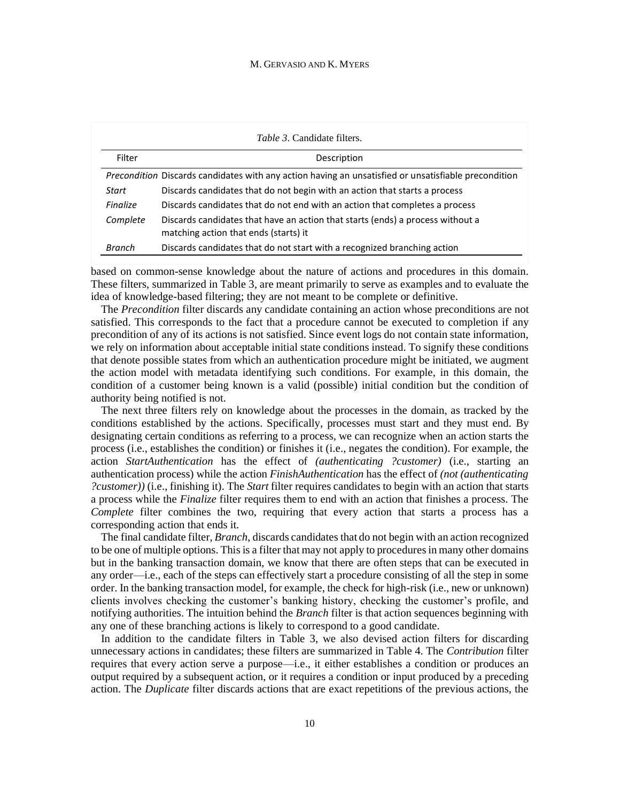|                 | <i>Table 3.</i> Candidate filters.                                                                                      |
|-----------------|-------------------------------------------------------------------------------------------------------------------------|
| Filter          | Description                                                                                                             |
|                 | Precondition Discards candidates with any action having an unsatisfied or unsatisfiable precondition                    |
| Start           | Discards candidates that do not begin with an action that starts a process                                              |
| <b>Finalize</b> | Discards candidates that do not end with an action that completes a process                                             |
| Complete        | Discards candidates that have an action that starts (ends) a process without a<br>matching action that ends (starts) it |
| Branch          | Discards candidates that do not start with a recognized branching action                                                |

based on common-sense knowledge about the nature of actions and procedures in this domain. These filters, summarized in Table 3, are meant primarily to serve as examples and to evaluate the idea of knowledge-based filtering; they are not meant to be complete or definitive.

The *Precondition* filter discards any candidate containing an action whose preconditions are not satisfied. This corresponds to the fact that a procedure cannot be executed to completion if any precondition of any of its actions is not satisfied. Since event logs do not contain state information, we rely on information about acceptable initial state conditions instead. To signify these conditions that denote possible states from which an authentication procedure might be initiated, we augment the action model with metadata identifying such conditions. For example, in this domain, the condition of a customer being known is a valid (possible) initial condition but the condition of authority being notified is not.

The next three filters rely on knowledge about the processes in the domain, as tracked by the conditions established by the actions. Specifically, processes must start and they must end. By designating certain conditions as referring to a process, we can recognize when an action starts the process (i.e., establishes the condition) or finishes it (i.e., negates the condition). For example, the action *StartAuthentication* has the effect of *(authenticating ?customer)* (i.e., starting an authentication process) while the action *FinishAuthentication* has the effect of *(not (authenticating ?customer))* (i.e., finishing it). The *Start* filter requires candidates to begin with an action that starts a process while the *Finalize* filter requires them to end with an action that finishes a process. The *Complete* filter combines the two, requiring that every action that starts a process has a corresponding action that ends it.

The final candidate filter, *Branch*, discards candidates that do not begin with an action recognized to be one of multiple options. This is a filter that may not apply to procedures in many other domains but in the banking transaction domain, we know that there are often steps that can be executed in any order—i.e., each of the steps can effectively start a procedure consisting of all the step in some order. In the banking transaction model, for example, the check for high-risk (i.e., new or unknown) clients involves checking the customer's banking history, checking the customer's profile, and notifying authorities. The intuition behind the *Branch* filter is that action sequences beginning with any one of these branching actions is likely to correspond to a good candidate.

In addition to the candidate filters in Table 3, we also devised action filters for discarding unnecessary actions in candidates; these filters are summarized in Table 4. The *Contribution* filter requires that every action serve a purpose—i.e., it either establishes a condition or produces an output required by a subsequent action, or it requires a condition or input produced by a preceding action. The *Duplicate* filter discards actions that are exact repetitions of the previous actions, the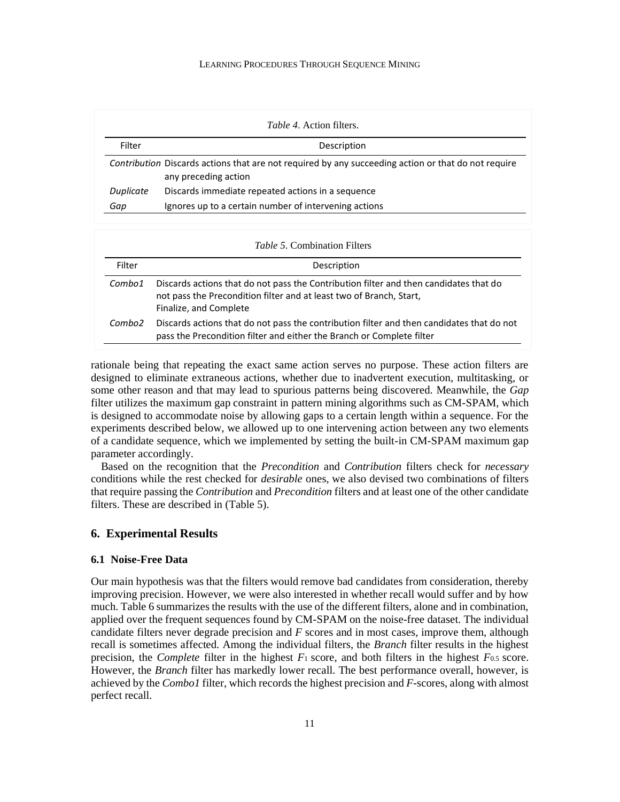|           | <i>Table 4.</i> Action filters.                                                                                             |
|-----------|-----------------------------------------------------------------------------------------------------------------------------|
| Filter    | Description                                                                                                                 |
|           | Contribution Discards actions that are not required by any succeeding action or that do not require<br>any preceding action |
| Duplicate | Discards immediate repeated actions in a sequence                                                                           |
| Gap       | Ignores up to a certain number of intervening actions                                                                       |

|        | <i>Table 5.</i> Combination Filters                                                                                                                                                    |
|--------|----------------------------------------------------------------------------------------------------------------------------------------------------------------------------------------|
| Filter | Description                                                                                                                                                                            |
| Combo1 | Discards actions that do not pass the Contribution filter and then candidates that do<br>not pass the Precondition filter and at least two of Branch, Start,<br>Finalize, and Complete |
| Combo2 | Discards actions that do not pass the contribution filter and then candidates that do not<br>pass the Precondition filter and either the Branch or Complete filter                     |

rationale being that repeating the exact same action serves no purpose. These action filters are designed to eliminate extraneous actions, whether due to inadvertent execution, multitasking, or some other reason and that may lead to spurious patterns being discovered. Meanwhile, the *Gap*  filter utilizes the maximum gap constraint in pattern mining algorithms such as CM-SPAM, which is designed to accommodate noise by allowing gaps to a certain length within a sequence. For the experiments described below, we allowed up to one intervening action between any two elements of a candidate sequence, which we implemented by setting the built-in CM-SPAM maximum gap parameter accordingly.

Based on the recognition that the *Precondition* and *Contribution* filters check for *necessary*  conditions while the rest checked for *desirable* ones, we also devised two combinations of filters that require passing the *Contribution* and *Precondition* filters and at least one of the other candidate filters. These are described in (Table 5).

# **6. Experimental Results**

#### **6.1 Noise-Free Data**

Our main hypothesis was that the filters would remove bad candidates from consideration, thereby improving precision. However, we were also interested in whether recall would suffer and by how much. Table 6 summarizes the results with the use of the different filters, alone and in combination, applied over the frequent sequences found by CM-SPAM on the noise-free dataset. The individual candidate filters never degrade precision and *F* scores and in most cases, improve them, although recall is sometimes affected. Among the individual filters, the *Branch* filter results in the highest precision, the *Complete* filter in the highest *F*<sup>1</sup> score, and both filters in the highest *F*0.5 score. However, the *Branch* filter has markedly lower recall. The best performance overall, however, is achieved by the *Combo1* filter, which records the highest precision and *F*-scores, along with almost perfect recall.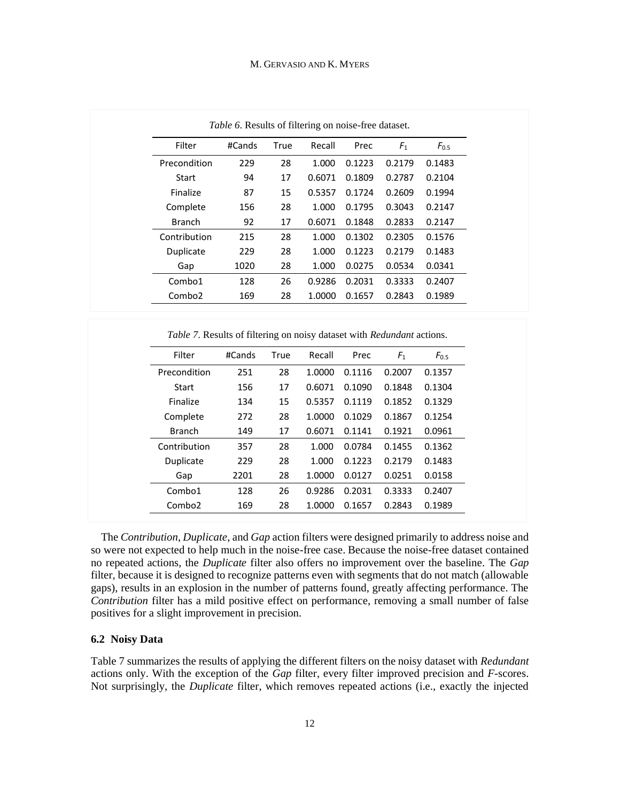|                    | Table 6. Results of filtering on noise-free dataset. |      |        |        |                |           |
|--------------------|------------------------------------------------------|------|--------|--------|----------------|-----------|
| Filter             | #Cands                                               | True | Recall | Prec   | F <sub>1</sub> | $F_{0.5}$ |
| Precondition       | 229                                                  | 28   | 1.000  | 0.1223 | 0.2179         | 0.1483    |
| Start              | 94                                                   | 17   | 0.6071 | 0.1809 | 0.2787         | 0.2104    |
| Finalize           | 87                                                   | 15   | 0.5357 | 0.1724 | 0.2609         | 0.1994    |
| Complete           | 156                                                  | 28   | 1.000  | 0.1795 | 0.3043         | 0.2147    |
| <b>Branch</b>      | 92                                                   | 17   | 0.6071 | 0.1848 | 0.2833         | 0.2147    |
| Contribution       | 215                                                  | 28   | 1.000  | 0.1302 | 0.2305         | 0.1576    |
| Duplicate          | 229                                                  | 28   | 1.000  | 0.1223 | 0.2179         | 0.1483    |
| Gap                | 1020                                                 | 28   | 1.000  | 0.0275 | 0.0534         | 0.0341    |
| Combo1             | 128                                                  | 26   | 0.9286 | 0.2031 | 0.3333         | 0.2407    |
| Combo <sub>2</sub> | 169                                                  | 28   | 1.0000 | 0.1657 | 0.2843         | 0.1989    |

*Table 7*. Results of filtering on noisy dataset with *Redundant* actions.

| Filter             | #Cands | True | Recall | Prec   | F <sub>1</sub> | $F_{0.5}$ |
|--------------------|--------|------|--------|--------|----------------|-----------|
| Precondition       | 251    | 28   | 1.0000 | 0.1116 | 0.2007         | 0.1357    |
| Start              | 156    | 17   | 0.6071 | 0.1090 | 0.1848         | 0.1304    |
| Finalize           | 134    | 15   | 0.5357 | 0.1119 | 0.1852         | 0.1329    |
| Complete           | 272    | 28   | 1.0000 | 0.1029 | 0.1867         | 0.1254    |
| <b>Branch</b>      | 149    | 17   | 0.6071 | 0.1141 | 0.1921         | 0.0961    |
| Contribution       | 357    | 28   | 1.000  | 0.0784 | 0.1455         | 0.1362    |
| Duplicate          | 229    | 28   | 1.000  | 0.1223 | 0.2179         | 0.1483    |
| Gap                | 2201   | 28   | 1.0000 | 0.0127 | 0.0251         | 0.0158    |
| Combo1             | 128    | 26   | 0.9286 | 0.2031 | 0.3333         | 0.2407    |
| Combo <sub>2</sub> | 169    | 28   | 1.0000 | 0.1657 | 0.2843         | 0.1989    |

The *Contribution*, *Duplicate*, and *Gap* action filters were designed primarily to address noise and so were not expected to help much in the noise-free case. Because the noise-free dataset contained no repeated actions, the *Duplicate* filter also offers no improvement over the baseline. The *Gap*  filter, because it is designed to recognize patterns even with segments that do not match (allowable gaps), results in an explosion in the number of patterns found, greatly affecting performance. The *Contribution* filter has a mild positive effect on performance, removing a small number of false positives for a slight improvement in precision.

## **6.2 Noisy Data**

Table 7 summarizes the results of applying the different filters on the noisy dataset with *Redundant*  actions only. With the exception of the *Gap* filter, every filter improved precision and *F*-scores. Not surprisingly, the *Duplicate* filter, which removes repeated actions (i.e., exactly the injected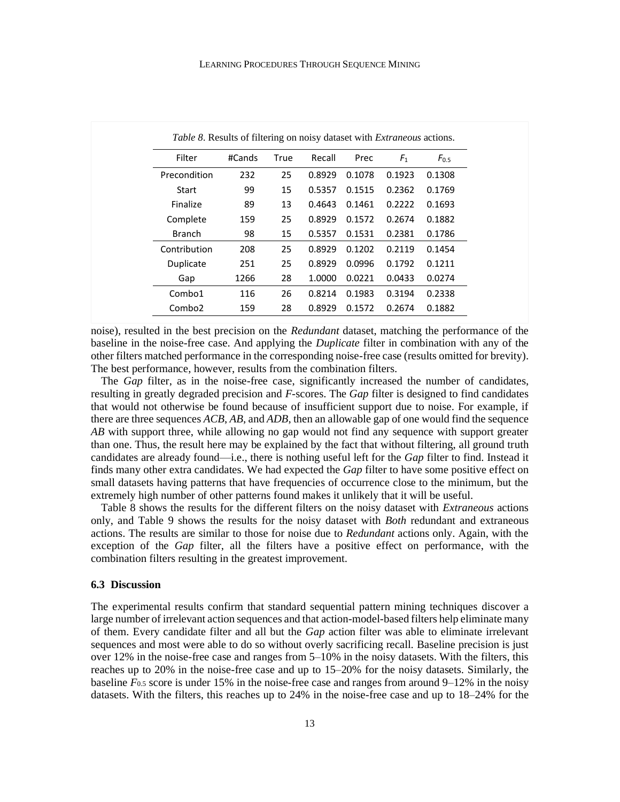| <i>Table 8.</i> Results of filtering on noisy dataset with <i>Extraneous</i> actions. |        |      |        |        |                |           |
|---------------------------------------------------------------------------------------|--------|------|--------|--------|----------------|-----------|
| Filter                                                                                | #Cands | True | Recall | Prec   | F <sub>1</sub> | $F_{0.5}$ |
| Precondition                                                                          | 232    | 25   | 0.8929 | 0.1078 | 0.1923         | 0.1308    |
| Start                                                                                 | 99     | 15   | 0.5357 | 0.1515 | 0.2362         | 0.1769    |
| Finalize                                                                              | 89     | 13   | 0.4643 | 0.1461 | 0.2222         | 0.1693    |
| Complete                                                                              | 159    | 25   | 0.8929 | 0.1572 | 0.2674         | 0.1882    |
| <b>Branch</b>                                                                         | 98     | 15   | 0.5357 | 0.1531 | 0.2381         | 0.1786    |
| Contribution                                                                          | 208    | 25   | 0.8929 | 0.1202 | 0.2119         | 0.1454    |
| Duplicate                                                                             | 251    | 25   | 0.8929 | 0.0996 | 0.1792         | 0.1211    |
| Gap                                                                                   | 1266   | 28   | 1.0000 | 0.0221 | 0.0433         | 0.0274    |
| Combo1                                                                                | 116    | 26   | 0.8214 | 0.1983 | 0.3194         | 0.2338    |
| Combo <sub>2</sub>                                                                    | 159    | 28   | 0.8929 | 0.1572 | 0.2674         | 0.1882    |

noise), resulted in the best precision on the *Redundant* dataset, matching the performance of the baseline in the noise-free case. And applying the *Duplicate* filter in combination with any of the other filters matched performance in the corresponding noise-free case (results omitted for brevity). The best performance, however, results from the combination filters.

The *Gap* filter, as in the noise-free case, significantly increased the number of candidates, resulting in greatly degraded precision and *F*-scores. The *Gap* filter is designed to find candidates that would not otherwise be found because of insufficient support due to noise. For example, if there are three sequences  $ACB$ ,  $AB$ , and  $ADB$ , then an allowable gap of one would find the sequence *AB* with support three, while allowing no gap would not find any sequence with support greater than one. Thus, the result here may be explained by the fact that without filtering, all ground truth candidates are already found—i.e., there is nothing useful left for the *Gap* filter to find. Instead it finds many other extra candidates. We had expected the *Gap* filter to have some positive effect on small datasets having patterns that have frequencies of occurrence close to the minimum, but the extremely high number of other patterns found makes it unlikely that it will be useful.

Table 8 shows the results for the different filters on the noisy dataset with *Extraneous* actions only, and Table 9 shows the results for the noisy dataset with *Both* redundant and extraneous actions. The results are similar to those for noise due to *Redundant* actions only. Again, with the exception of the *Gap* filter, all the filters have a positive effect on performance, with the combination filters resulting in the greatest improvement.

## **6.3 Discussion**

The experimental results confirm that standard sequential pattern mining techniques discover a large number of irrelevant action sequences and that action-model-based filters help eliminate many of them. Every candidate filter and all but the *Gap* action filter was able to eliminate irrelevant sequences and most were able to do so without overly sacrificing recall. Baseline precision is just over 12% in the noise-free case and ranges from 5–10% in the noisy datasets. With the filters, this reaches up to 20% in the noise-free case and up to 15–20% for the noisy datasets. Similarly, the baseline *F*0.5 score is under 15% in the noise-free case and ranges from around 9–12% in the noisy datasets. With the filters, this reaches up to 24% in the noise-free case and up to 18–24% for the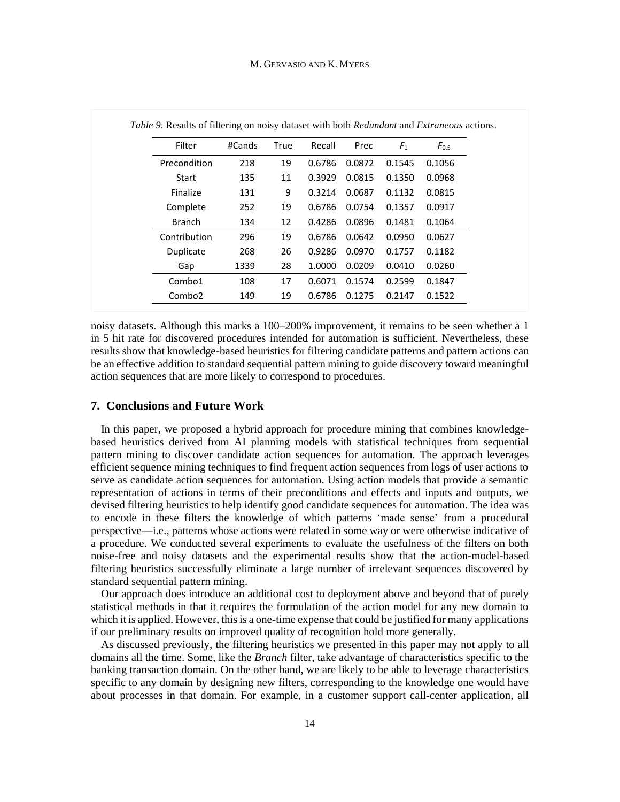| Filter             | #Cands | True | Recall | Prec   | $F_1$  | $F_{0.5}$ |
|--------------------|--------|------|--------|--------|--------|-----------|
| Precondition       | 218    | 19   | 0.6786 | 0.0872 | 0.1545 | 0.1056    |
| Start              | 135    | 11   | 0.3929 | 0.0815 | 0.1350 | 0.0968    |
| Finalize           | 131    | 9    | 0.3214 | 0.0687 | 0.1132 | 0.0815    |
| Complete           | 252    | 19   | 0.6786 | 0.0754 | 0.1357 | 0.0917    |
| <b>Branch</b>      | 134    | 12   | 0.4286 | 0.0896 | 0.1481 | 0.1064    |
| Contribution       | 296    | 19   | 0.6786 | 0.0642 | 0.0950 | 0.0627    |
| Duplicate          | 268    | 26   | 0.9286 | 0.0970 | 0.1757 | 0.1182    |
| Gap                | 1339   | 28   | 1.0000 | 0.0209 | 0.0410 | 0.0260    |
| Combo1             | 108    | 17   | 0.6071 | 0.1574 | 0.2599 | 0.1847    |
| Combo <sub>2</sub> | 149    | 19   | 0.6786 | 0.1275 | 0.2147 | 0.1522    |

*Table 9*. Results of filtering on noisy dataset with both *Redundant* and *Extraneous* actions.

noisy datasets. Although this marks a 100–200% improvement, it remains to be seen whether a 1 in 5 hit rate for discovered procedures intended for automation is sufficient. Nevertheless, these results show that knowledge-based heuristics for filtering candidate patterns and pattern actions can be an effective addition to standard sequential pattern mining to guide discovery toward meaningful action sequences that are more likely to correspond to procedures.

#### **7. Conclusions and Future Work**

In this paper, we proposed a hybrid approach for procedure mining that combines knowledgebased heuristics derived from AI planning models with statistical techniques from sequential pattern mining to discover candidate action sequences for automation. The approach leverages efficient sequence mining techniques to find frequent action sequences from logs of user actions to serve as candidate action sequences for automation. Using action models that provide a semantic representation of actions in terms of their preconditions and effects and inputs and outputs, we devised filtering heuristics to help identify good candidate sequences for automation. The idea was to encode in these filters the knowledge of which patterns 'made sense' from a procedural perspective—i.e., patterns whose actions were related in some way or were otherwise indicative of a procedure. We conducted several experiments to evaluate the usefulness of the filters on both noise-free and noisy datasets and the experimental results show that the action-model-based filtering heuristics successfully eliminate a large number of irrelevant sequences discovered by standard sequential pattern mining.

Our approach does introduce an additional cost to deployment above and beyond that of purely statistical methods in that it requires the formulation of the action model for any new domain to which it is applied. However, this is a one-time expense that could be justified for many applications if our preliminary results on improved quality of recognition hold more generally.

As discussed previously, the filtering heuristics we presented in this paper may not apply to all domains all the time. Some, like the *Branch* filter, take advantage of characteristics specific to the banking transaction domain. On the other hand, we are likely to be able to leverage characteristics specific to any domain by designing new filters, corresponding to the knowledge one would have about processes in that domain. For example, in a customer support call-center application, all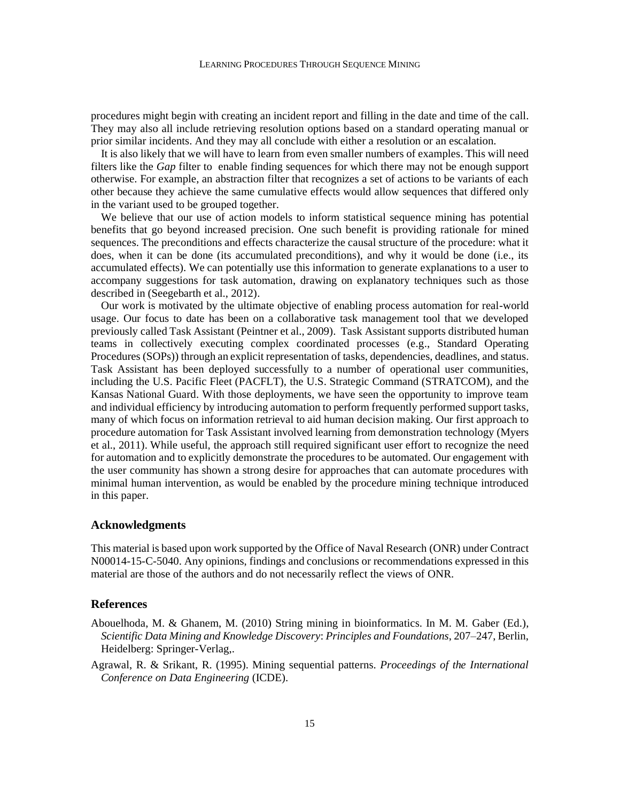procedures might begin with creating an incident report and filling in the date and time of the call. They may also all include retrieving resolution options based on a standard operating manual or prior similar incidents. And they may all conclude with either a resolution or an escalation.

It is also likely that we will have to learn from even smaller numbers of examples. This will need filters like the *Gap* filter to enable finding sequences for which there may not be enough support otherwise. For example, an abstraction filter that recognizes a set of actions to be variants of each other because they achieve the same cumulative effects would allow sequences that differed only in the variant used to be grouped together.

We believe that our use of action models to inform statistical sequence mining has potential benefits that go beyond increased precision. One such benefit is providing rationale for mined sequences. The preconditions and effects characterize the causal structure of the procedure: what it does, when it can be done (its accumulated preconditions), and why it would be done (i.e., its accumulated effects). We can potentially use this information to generate explanations to a user to accompany suggestions for task automation, drawing on explanatory techniques such as those described in (Seegebarth et al., 2012).

Our work is motivated by the ultimate objective of enabling process automation for real-world usage. Our focus to date has been on a collaborative task management tool that we developed previously called Task Assistant (Peintner et al., 2009). Task Assistant supports distributed human teams in collectively executing complex coordinated processes (e.g., Standard Operating Procedures (SOPs)) through an explicit representation of tasks, dependencies, deadlines, and status. Task Assistant has been deployed successfully to a number of operational user communities, including the U.S. Pacific Fleet (PACFLT), the U.S. Strategic Command (STRATCOM), and the Kansas National Guard. With those deployments, we have seen the opportunity to improve team and individual efficiency by introducing automation to perform frequently performed support tasks, many of which focus on information retrieval to aid human decision making. Our first approach to procedure automation for Task Assistant involved learning from demonstration technology (Myers et al., 2011). While useful, the approach still required significant user effort to recognize the need for automation and to explicitly demonstrate the procedures to be automated. Our engagement with the user community has shown a strong desire for approaches that can automate procedures with minimal human intervention, as would be enabled by the procedure mining technique introduced in this paper.

## **Acknowledgments**

This material is based upon work supported by the Office of Naval Research (ONR) under Contract N00014-15-C-5040. Any opinions, findings and conclusions or recommendations expressed in this material are those of the authors and do not necessarily reflect the views of ONR.

## **References**

- Abouelhoda, M. & Ghanem, M. (2010) String mining in bioinformatics. In M. M. Gaber (Ed.), *Scientific Data Mining and Knowledge Discovery*: *Principles and Foundations*, 207–247, Berlin, Heidelberg: Springer-Verlag,.
- Agrawal, R. & Srikant, R. (1995). Mining sequential patterns. *Proceedings of the International Conference on Data Engineering* (ICDE).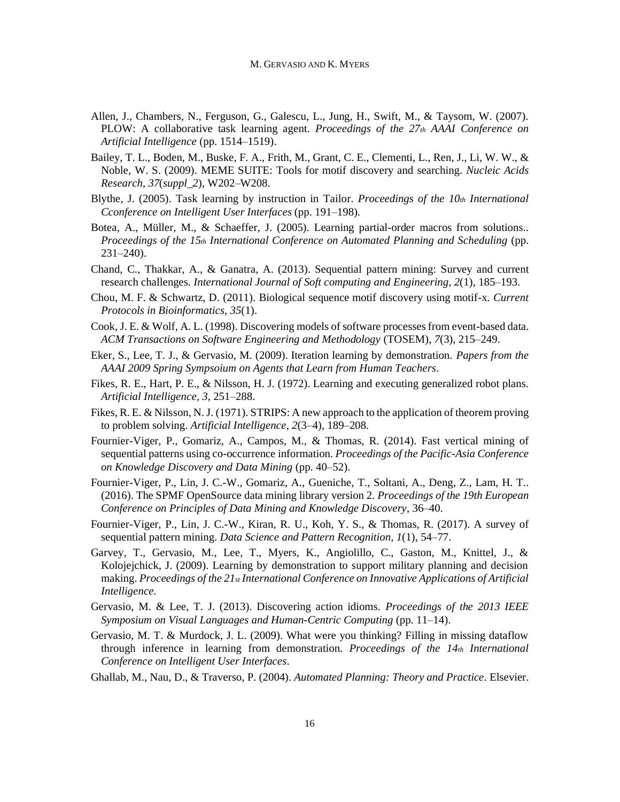- Allen, J., Chambers, N., Ferguson, G., Galescu, L., Jung, H., Swift, M., & Taysom, W. (2007). PLOW: A collaborative task learning agent. *Proceedings of the 27th AAAI Conference on Artificial Intelligence* (pp. 1514–1519).
- Bailey, T. L., Boden, M., Buske, F. A., Frith, M., Grant, C. E., Clementi, L., Ren, J., Li, W. W., & Noble, W. S. (2009). MEME SUITE: Tools for motif discovery and searching. *Nucleic Acids Research*, *37*(*suppl\_2*), W202–W208.
- Blythe, J. (2005). Task learning by instruction in Tailor. *Proceedings of the 10th International Cconference on Intelligent User Interfaces* (pp. 191–198).
- Botea, A., Müller, M., & Schaeffer, J. (2005). Learning partial-order macros from solutions.. *Proceedings of the 15th International Conference on Automated Planning and Scheduling* (pp. 231–240).
- Chand, C., Thakkar, A., & Ganatra, A. (2013). Sequential pattern mining: Survey and current research challenges. *International Journal of Soft computing and Engineering, 2*(1), 185–193.
- Chou, M. F. & Schwartz, D. (2011). Biological sequence motif discovery using motif-x*. Current Protocols in Bioinformatics*, *35*(1).
- Cook, J. E. & Wolf, A. L. (1998). Discovering models of software processes from event-based data. *ACM Transactions on Software Engineering and Methodology* (TOSEM), *7*(3), 215–249.
- Eker, S., Lee, T. J., & Gervasio, M. (2009). Iteration learning by demonstration. *Papers from the AAAI 2009 Spring Sympsoium on Agents that Learn from Human Teachers*.
- Fikes, R. E., Hart, P. E., & Nilsson, H. J. (1972). Learning and executing generalized robot plans. *Artificial Intelligence*, *3*, 251–288.
- Fikes, R. E. & Nilsson, N. J. (1971). STRIPS: A new approach to the application of theorem proving to problem solving. *Artificial Intelligence*, *2*(3–4), 189–208.
- Fournier-Viger, P., Gomariz, A., Campos, M., & Thomas, R. (2014). Fast vertical mining of sequential patterns using co-occurrence information. *Proceedings of the Pacific-Asia Conference on Knowledge Discovery and Data Mining* (pp. 40–52).
- Fournier-Viger, P., Lin, J. C.-W., Gomariz, A., Gueniche, T., Soltani, A., Deng, Z., Lam, H. T.. (2016). The SPMF OpenSource data mining library version 2. *Proceedings of the 19th European Conference on Principles of Data Mining and Knowledge Discovery*, 36–40.
- Fournier-Viger, P., Lin, J. C.-W., Kiran, R. U., Koh, Y. S., & Thomas, R. (2017). A survey of sequential pattern mining. *Data Science and Pattern Recognition*, *1*(1), 54–77.
- Garvey, T., Gervasio, M., Lee, T., Myers, K., Angiolillo, C., Gaston, M., Knittel, J., & Kolojejchick, J. (2009). Learning by demonstration to support military planning and decision making. *Proceedings of the 21st International Conference on Innovative Applications of Artificial Intelligence.*
- Gervasio, M. & Lee, T. J. (2013). Discovering action idioms. *Proceedings of the 2013 IEEE Symposium on Visual Languages and Human-Centric Computing* (pp. 11–14).
- Gervasio, M. T. & Murdock, J. L. (2009). What were you thinking? Filling in missing dataflow through inference in learning from demonstration. *Proceedings of the 14th International Conference on Intelligent User Interfaces*.
- Ghallab, M., Nau, D., & Traverso, P. (2004). *Automated Planning: Theory and Practice*. Elsevier.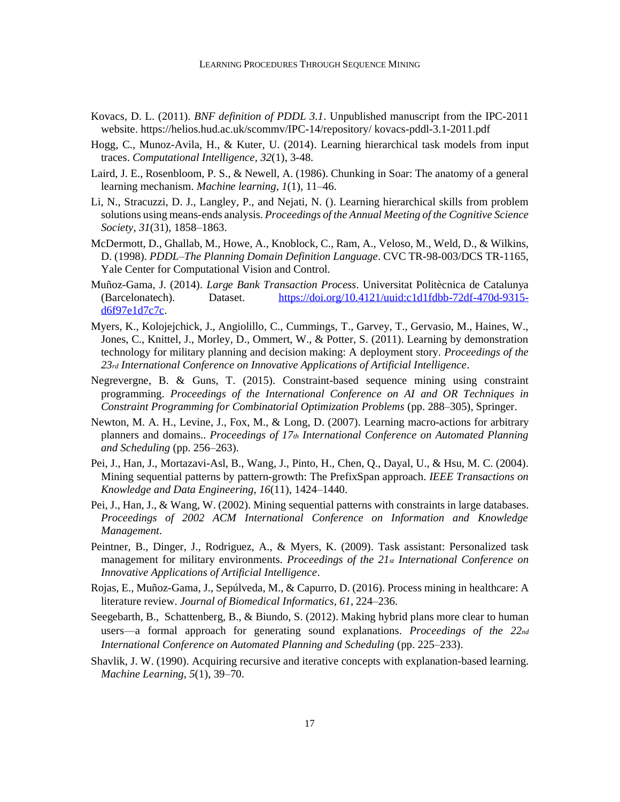- Kovacs, D. L. (2011). *BNF definition of PDDL 3.1*. Unpublished manuscript from the IPC-2011 website. [https://helios.hud.ac.uk/scommv/IPC-14/repository/ kovacs-pddl-3.1-2011.pdf](https://helios.hud.ac.uk/scommv/IPC-14/repository/kovacs-pddl-3.1-2011.pdf)
- Hogg, C., Munoz-Avila, H., & Kuter, U. (2014). Learning hierarchical task models from input traces. *Computational Intelligence, 32*(1), 3-48.
- Laird, J. E., Rosenbloom, P. S., & Newell, A. (1986). Chunking in Soar: The anatomy of a general learning mechanism. *Machine learning*, *1*(1), 11–46.
- Li, N., Stracuzzi, D. J., Langley, P., and Nejati, N. (). Learning hierarchical skills from problem solutions using means-ends analysis. *Proceedings of the Annual Meeting of the Cognitive Science Society*, *31*(31), 1858–1863.
- McDermott, D., Ghallab, M., Howe, A., Knoblock, C., Ram, A., Veloso, M., Weld, D., & Wilkins, D. (1998). *PDDL–The Planning Domain Definition Language*. CVC TR-98-003/DCS TR-1165, Yale Center for Computational Vision and Control.
- Muñoz-Gama, J. (2014). *Large Bank Transaction Process*. Universitat Politècnica de Catalunya (Barcelonatech). Dataset. [https://doi.org/10.4121/uuid:c1d1fdbb-72df-470d-9315](https://doi.org/10.4121/uuid:c1d1fdbb-72df-470d-9315-d6f97e1d7c7c) [d6f97e1d7c7c.](https://doi.org/10.4121/uuid:c1d1fdbb-72df-470d-9315-d6f97e1d7c7c)
- Myers, K., Kolojejchick, J., Angiolillo, C., Cummings, T., Garvey, T., Gervasio, M., Haines, W., Jones, C., Knittel, J., Morley, D., Ommert, W., & Potter, S. (2011). Learning by demonstration technology for military planning and decision making: A deployment story. *Proceedings of the 23rd International Conference on Innovative Applications of Artificial Intelligence*.
- Negrevergne, B. & Guns, T. (2015). Constraint-based sequence mining using constraint programming. *Proceedings of the International Conference on AI and OR Techniques in Constraint Programming for Combinatorial Optimization Problems* (pp. 288–305), Springer.
- Newton, M. A. H., Levine, J., Fox, M., & Long, D. (2007). Learning macro-actions for arbitrary planners and domains.. *Proceedings of 17th International Conference on Automated Planning and Scheduling* (pp. 256–263).
- Pei, J., Han, J., Mortazavi-Asl, B., Wang, J., Pinto, H., Chen, Q., Dayal, U., & Hsu, M. C. (2004). Mining sequential patterns by pattern-growth: The PrefixSpan approach. *IEEE Transactions on Knowledge and Data Engineering*, *16*(11), 1424–1440.
- Pei, J., Han, J., & Wang, W. (2002). Mining sequential patterns with constraints in large databases. *Proceedings of 2002 ACM International Conference on Information and Knowledge Management*.
- Peintner, B., Dinger, J., Rodriguez, A., & Myers, K. (2009). Task assistant: Personalized task management for military environments. *Proceedings of the 21st International Conference on Innovative Applications of Artificial Intelligence*.
- Rojas, E., Muñoz-Gama, J., Sepúlveda, M., & Capurro, D. (2016). Process mining in healthcare: A literature review. *Journal of Biomedical Informatics*, *61*, 224–236.
- Seegebarth, B., Schattenberg, B., & Biundo, S. (2012). Making hybrid plans more clear to human users—a formal approach for generating sound explanations. *Proceedings of the 22nd International Conference on Automated Planning and Scheduling* (pp. 225–233).
- Shavlik, J. W. (1990). Acquiring recursive and iterative concepts with explanation-based learning. *Machine Learning*, *5*(1), 39–70.